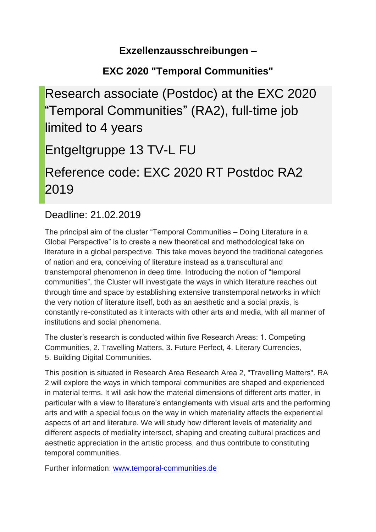### **Exzellenzausschreibungen –**

# **EXC 2020 "Temporal Communities"**

Research associate (Postdoc) at the EXC 2020 "Temporal Communities" (RA2), full-time job limited to 4 years Entgeltgruppe 13 TV-L FU Reference code: EXC 2020 RT Postdoc RA2 2019

## Deadline: 21.02.2019

The principal aim of the cluster "Temporal Communities – Doing Literature in a Global Perspective" is to create a new theoretical and methodological take on literature in a global perspective. This take moves beyond the traditional categories of nation and era, conceiving of literature instead as a transcultural and transtemporal phenomenon in deep time. Introducing the notion of "temporal communities", the Cluster will investigate the ways in which literature reaches out through time and space by establishing extensive transtemporal networks in which the very notion of literature itself, both as an aesthetic and a social praxis, is constantly re-constituted as it interacts with other arts and media, with all manner of institutions and social phenomena.

The cluster's research is conducted within five Research Areas: 1. Competing Communities, 2. Travelling Matters, 3. Future Perfect, 4. Literary Currencies, 5. Building Digital Communities.

This position is situated in Research Area Research Area 2, "Travelling Matters". RA 2 will explore the ways in which temporal communities are shaped and experienced in material terms. It will ask how the material dimensions of different arts matter, in particular with a view to literature's entanglements with visual arts and the performing arts and with a special focus on the way in which materiality affects the experiential aspects of art and literature. We will study how different levels of materiality and different aspects of mediality intersect, shaping and creating cultural practices and aesthetic appreciation in the artistic process, and thus contribute to constituting temporal communities.

Further information: [www.temporal-communities.de](http://www.temporal-communities.de/)